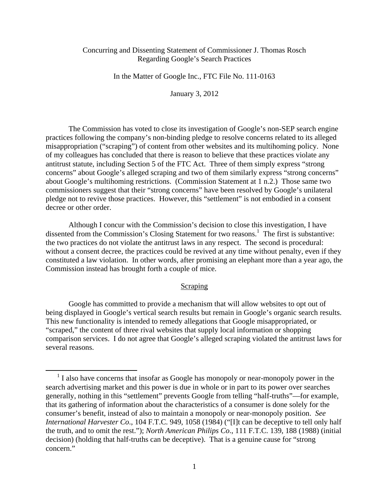# Concurring and Dissenting Statement of Commissioner J. Thomas Rosch Regarding Google's Search Practices

In the Matter of Google Inc., FTC File No. 111-0163

January 3, 2012

The Commission has voted to close its investigation of Google's non-SEP search engine practices following the company's non-binding pledge to resolve concerns related to its alleged misappropriation ("scraping") of content from other websites and its multihoming policy. None of my colleagues has concluded that there is reason to believe that these practices violate any antitrust statute, including Section 5 of the FTC Act. Three of them simply express "strong concerns" about Google's alleged scraping and two of them similarly express "strong concerns" about Google's multihoming restrictions. (Commission Statement at 1 n.2.) Those same two commissioners suggest that their "strong concerns" have been resolved by Google's unilateral pledge not to revive those practices. However, this "settlement" is not embodied in a consent decree or other order.

Although I concur with the Commission's decision to close this investigation, I have dissented from the Commission's Closing Statement for two reasons.<sup>1</sup> The first is substantive: the two practices do not violate the antitrust laws in any respect. The second is procedural: without a consent decree, the practices could be revived at any time without penalty, even if they constituted a law violation. In other words, after promising an elephant more than a year ago, the Commission instead has brought forth a couple of mice.

### Scraping

Google has committed to provide a mechanism that will allow websites to opt out of being displayed in Google's vertical search results but remain in Google's organic search results. This new functionality is intended to remedy allegations that Google misappropriated, or "scraped," the content of three rival websites that supply local information or shopping comparison services. I do not agree that Google's alleged scraping violated the antitrust laws for several reasons.

<sup>&</sup>lt;sup>1</sup> I also have concerns that insofar as Google has monopoly or near-monopoly power in the search advertising market and this power is due in whole or in part to its power over searches generally, nothing in this "settlement" prevents Google from telling "half-truths"—for example, that its gathering of information about the characteristics of a consumer is done solely for the consumer's benefit, instead of also to maintain a monopoly or near-monopoly position. *See International Harvester Co*., 104 F.T.C. 949, 1058 (1984) ("[I]t can be deceptive to tell only half the truth, and to omit the rest."); *North American Philips Co*., 111 F.T.C. 139, 188 (1988) (initial decision) (holding that half-truths can be deceptive). That is a genuine cause for "strong concern."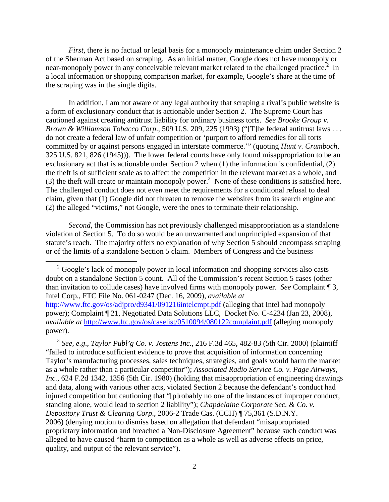*First*, there is no factual or legal basis for a monopoly maintenance claim under Section 2 of the Sherman Act based on scraping. As an initial matter, Google does not have monopoly or near-monopoly power in any conceivable relevant market related to the challenged practice.<sup>2</sup> In a local information or shopping comparison market, for example, Google's share at the time of the scraping was in the single digits.

In addition, I am not aware of any legal authority that scraping a rival's public website is a form of exclusionary conduct that is actionable under Section 2. The Supreme Court has cautioned against creating antitrust liability for ordinary business torts. *See Brooke Group v. Brown & Williamson Tobacco Corp*., 509 U.S. 209, 225 (1993) ("[T]he federal antitrust laws . . . do not create a federal law of unfair competition or 'purport to afford remedies for all torts committed by or against persons engaged in interstate commerce.'" (quoting *Hunt v. Crumboch*, 325 U.S. 821, 826 (1945))). The lower federal courts have only found misappropriation to be an exclusionary act that is actionable under Section 2 when (1) the information is confidential, (2) the theft is of sufficient scale as to affect the competition in the relevant market as a whole, and (3) the theft will create or maintain monopoly power.<sup>3</sup> None of these conditions is satisfied here. The challenged conduct does not even meet the requirements for a conditional refusal to deal claim, given that (1) Google did not threaten to remove the websites from its search engine and (2) the alleged "victims," not Google, were the ones to terminate their relationship.

*Second*, the Commission has not previously challenged misappropriation as a standalone violation of Section 5. To do so would be an unwarranted and unprincipled expansion of that statute's reach. The majority offers no explanation of why Section 5 should encompass scraping or of the limits of a standalone Section 5 claim. Members of Congress and the business

<sup>2</sup> Google's lack of monopoly power in local information and shopping services also casts doubt on a standalone Section 5 count. All of the Commission's recent Section 5 cases (other than invitation to collude cases) have involved firms with monopoly power. *See* Complaint ¶ 3, Intel Corp., FTC File No. 061-0247 (Dec. 16, 2009), *available at* http://www.ftc.gov/os/adjpro/d9341/091216intelcmpt.pdf (alleging that Intel had monopoly power); Complaint ¶ 21, Negotiated Data Solutions LLC, Docket No. C-4234 (Jan 23, 2008), *available at* http://www.ftc.gov/os/caselist/0510094/080122complaint.pdf (alleging monopoly

power).

<sup>3</sup> *See, e.g*., *Taylor Publ'g Co. v. Jostens Inc*., 216 F.3d 465, 482-83 (5th Cir. 2000) (plaintiff "failed to introduce sufficient evidence to prove that acquisition of information concerning Taylor's manufacturing processes, sales techniques, strategies, and goals would harm the market as a whole rather than a particular competitor"); *Associated Radio Service Co. v. Page Airways, Inc.*, 624 F.2d 1342, 1356 (5th Cir. 1980) (holding that misappropriation of engineering drawings and data, along with various other acts, violated Section 2 because the defendant's conduct had injured competition but cautioning that "[p]robably no one of the instances of improper conduct, standing alone, would lead to section 2 liability"); *Chapdelaine Corporate Sec. & Co. v. Depository Trust & Clearing Corp*., 2006-2 Trade Cas. (CCH) ¶ 75,361 (S.D.N.Y. 2006) (denying motion to dismiss based on allegation that defendant "misappropriated proprietary information and breached a Non-Disclosure Agreement" because such conduct was alleged to have caused "harm to competition as a whole as well as adverse effects on price, quality, and output of the relevant service").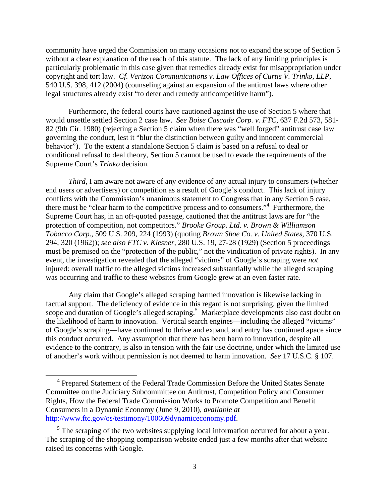community have urged the Commission on many occasions not to expand the scope of Section 5 without a clear explanation of the reach of this statute. The lack of any limiting principles is particularly problematic in this case given that remedies already exist for misappropriation under copyright and tort law. *Cf. Verizon Communications v. Law Offices of Curtis V. Trinko, LLP*, 540 U.S. 398, 412 (2004) (counseling against an expansion of the antitrust laws where other legal structures already exist "to deter and remedy anticompetitive harm").

Furthermore, the federal courts have cautioned against the use of Section 5 where that would unsettle settled Section 2 case law. *See Boise Cascade Corp. v. FTC*, 637 F.2d 573, 581- 82 (9th Cir. 1980) (rejecting a Section 5 claim when there was "well forged" antitrust case law governing the conduct, lest it "blur the distinction between guilty and innocent commercial behavior"). To the extent a standalone Section 5 claim is based on a refusal to deal or conditional refusal to deal theory, Section 5 cannot be used to evade the requirements of the Supreme Court's *Trinko* decision.

*Third*, I am aware not aware of any evidence of any actual injury to consumers (whether end users or advertisers) or competition as a result of Google's conduct. This lack of injury conflicts with the Commission's unanimous statement to Congress that in any Section 5 case, there must be "clear harm to the competitive process and to consumers."<sup>4</sup> Furthermore, the Supreme Court has, in an oft-quoted passage, cautioned that the antitrust laws are for "the protection of competition, not competitors." *Brooke Group. Ltd. v. Brown & Williamson Tobacco Corp*., 509 U.S. 209, 224 (1993) (quoting *Brown Shoe Co. v. United States*, 370 U.S. 294, 320 (1962)); *see also FTC v. Klesner*, 280 U.S. 19, 27-28 (1929) (Section 5 proceedings must be premised on the "protection of the public," not the vindication of private rights). In any event, the investigation revealed that the alleged "victims" of Google's scraping were *not* injured: overall traffic to the alleged victims increased substantially while the alleged scraping was occurring and traffic to these websites from Google grew at an even faster rate.

Any claim that Google's alleged scraping harmed innovation is likewise lacking in factual support. The deficiency of evidence in this regard is not surprising, given the limited scope and duration of Google's alleged scraping.<sup>5</sup> Marketplace developments also cast doubt on the likelihood of harm to innovation. Vertical search engines—including the alleged "victims" of Google's scraping—have continued to thrive and expand, and entry has continued apace since this conduct occurred. Any assumption that there has been harm to innovation, despite all evidence to the contrary, is also in tension with the fair use doctrine, under which the limited use of another's work without permission is not deemed to harm innovation. *See* 17 U.S.C. § 107.

 <sup>4</sup> Prepared Statement of the Federal Trade Commission Before the United States Senate Committee on the Judiciary Subcommittee on Antitrust, Competition Policy and Consumer Rights, How the Federal Trade Commission Works to Promote Competition and Benefit Consumers in a Dynamic Economy (June 9, 2010), *available at* http://www.ftc.gov/os/testimony/100609dynamiceconomy.pdf.

 $<sup>5</sup>$  The scraping of the two websites supplying local information occurred for about a year.</sup> The scraping of the shopping comparison website ended just a few months after that website raised its concerns with Google.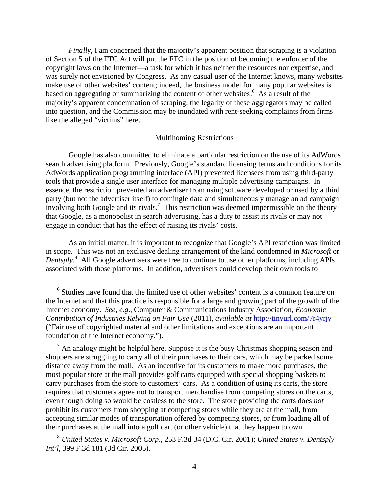*Finally*, I am concerned that the majority's apparent position that scraping is a violation of Section 5 of the FTC Act will put the FTC in the position of becoming the enforcer of the copyright laws on the Internet—a task for which it has neither the resources nor expertise, and was surely not envisioned by Congress. As any casual user of the Internet knows, many websites make use of other websites' content; indeed, the business model for many popular websites is based on aggregating or summarizing the content of other websites.<sup>6</sup> As a result of the majority's apparent condemnation of scraping, the legality of these aggregators may be called into question, and the Commission may be inundated with rent-seeking complaints from firms like the alleged "victims" here.

#### Multihoming Restrictions

Google has also committed to eliminate a particular restriction on the use of its AdWords search advertising platform. Previously, Google's standard licensing terms and conditions for its AdWords application programming interface (API) prevented licensees from using third-party tools that provide a single user interface for managing multiple advertising campaigns. In essence, the restriction prevented an advertiser from using software developed or used by a third party (but not the advertiser itself) to comingle data and simultaneously manage an ad campaign involving both Google and its rivals.<sup>7</sup> This restriction was deemed impermissible on the theory that Google, as a monopolist in search advertising, has a duty to assist its rivals or may not engage in conduct that has the effect of raising its rivals' costs.

As an initial matter, it is important to recognize that Google's API restriction was limited in scope. This was not an exclusive dealing arrangement of the kind condemned in *Microsoft* or *Dentsply*. 8 All Google advertisers were free to continue to use other platforms, including APIs associated with those platforms. In addition, advertisers could develop their own tools to

 <sup>6</sup> Studies have found that the limited use of other websites' content is a common feature on the Internet and that this practice is responsible for a large and growing part of the growth of the Internet economy. *See, e.g*., Computer & Communications Industry Association, *Economic Contribution of Industries Relying on Fair Use* (2011), *available at* http://tinyurl.com/7r4yrjy ("Fair use of copyrighted material and other limitations and exceptions are an important foundation of the Internet economy.").

 $<sup>7</sup>$  An analogy might be helpful here. Suppose it is the busy Christmas shopping season and</sup> shoppers are struggling to carry all of their purchases to their cars, which may be parked some distance away from the mall. As an incentive for its customers to make more purchases, the most popular store at the mall provides golf carts equipped with special shopping baskets to carry purchases from the store to customers' cars. As a condition of using its carts, the store requires that customers agree not to transport merchandise from competing stores on the carts, even though doing so would be costless to the store. The store providing the carts does *not* prohibit its customers from shopping at competing stores while they are at the mall, from accepting similar modes of transportation offered by competing stores, or from loading all of their purchases at the mall into a golf cart (or other vehicle) that they happen to own.

<sup>8</sup> *United States v. Microsoft Corp*., 253 F.3d 34 (D.C. Cir. 2001); *United States v. Dentsply Int'l*, 399 F.3d 181 (3d Cir. 2005).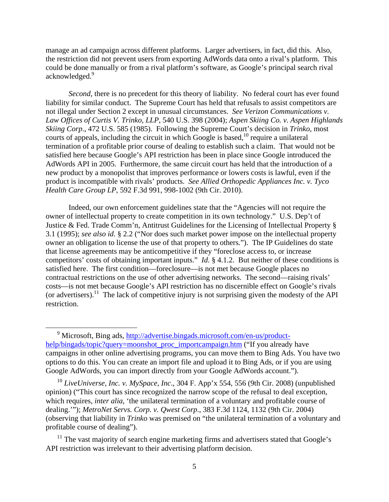manage an ad campaign across different platforms. Larger advertisers, in fact, did this. Also, the restriction did not prevent users from exporting AdWords data onto a rival's platform. This could be done manually or from a rival platform's software, as Google's principal search rival acknowledged.<sup>9</sup>

*Second*, there is no precedent for this theory of liability. No federal court has ever found liability for similar conduct. The Supreme Court has held that refusals to assist competitors are not illegal under Section 2 except in unusual circumstances. *See Verizon Communications v. Law Offices of Curtis V. Trinko, LLP*, 540 U.S. 398 (2004); *Aspen Skiing Co. v. Aspen Highlands Skiing Corp*., 472 U.S. 585 (1985). Following the Supreme Court's decision in *Trinko*, most courts of appeals, including the circuit in which Google is based,  $^{10}$  require a unilateral termination of a profitable prior course of dealing to establish such a claim. That would not be satisfied here because Google's API restriction has been in place since Google introduced the AdWords API in 2005. Furthermore, the same circuit court has held that the introduction of a new product by a monopolist that improves performance or lowers costs is lawful, even if the product is incompatible with rivals' products. *See Allied Orthopedic Appliances Inc. v. Tyco Health Care Group LP*, 592 F.3d 991, 998-1002 (9th Cir. 2010).

Indeed, our own enforcement guidelines state that the "Agencies will not require the owner of intellectual property to create competition in its own technology." U.S. Dep't of Justice & Fed. Trade Comm'n, Antitrust Guidelines for the Licensing of Intellectual Property § 3.1 (1995); *see also id.* § 2.2 ("Nor does such market power impose on the intellectual property owner an obligation to license the use of that property to others."). The IP Guidelines do state that license agreements may be anticompetitive if they "foreclose access to, or increase competitors' costs of obtaining important inputs." *Id*. § 4.1.2. But neither of these conditions is satisfied here. The first condition—foreclosure—is not met because Google places no contractual restrictions on the use of other advertising networks. The second—raising rivals' costs—is not met because Google's API restriction has no discernible effect on Google's rivals (or advertisers).<sup>11</sup> The lack of competitive injury is not surprising given the modesty of the API restriction.

 <sup>9</sup> Microsoft, Bing ads, http://advertise.bingads.microsoft.com/en-us/producthelp/bingads/topic?query=moonshot\_proc\_importcampaign.htm ("If you already have campaigns in other online advertising programs, you can move them to Bing Ads. You have two options to do this. You can create an import file and upload it to Bing Ads, or if you are using Google AdWords, you can import directly from your Google AdWords account.").

<sup>10</sup> *LiveUniverse, Inc. v. MySpace, Inc*., 304 F. App'x 554, 556 (9th Cir. 2008) (unpublished opinion) ("This court has since recognized the narrow scope of the refusal to deal exception, which requires, *inter alia*, 'the unilateral termination of a voluntary and profitable course of dealing.'"); *MetroNet Servs. Corp. v. Qwest Corp*., 383 F.3d 1124, 1132 (9th Cir. 2004) (observing that liability in *Trinko* was premised on "the unilateral termination of a voluntary and profitable course of dealing").

 $11$  The vast majority of search engine marketing firms and advertisers stated that Google's API restriction was irrelevant to their advertising platform decision.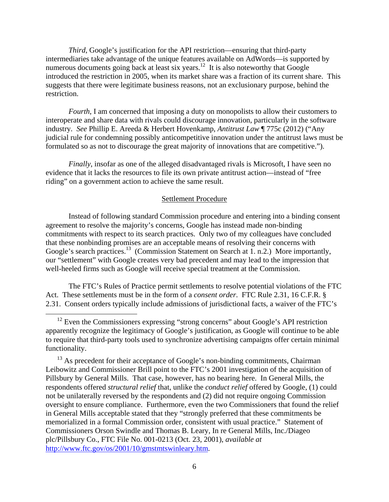*Third*, Google's justification for the API restriction—ensuring that third-party intermediaries take advantage of the unique features available on AdWords—is supported by numerous documents going back at least six years.<sup>12</sup> It is also noteworthy that Google introduced the restriction in 2005, when its market share was a fraction of its current share. This suggests that there were legitimate business reasons, not an exclusionary purpose, behind the restriction.

*Fourth*, I am concerned that imposing a duty on monopolists to allow their customers to interoperate and share data with rivals could discourage innovation, particularly in the software industry. *See* Phillip E. Areeda & Herbert Hovenkamp, *Antitrust Law* ¶ 775c (2012) ("Any judicial rule for condemning possibly anticompetitive innovation under the antitrust laws must be formulated so as not to discourage the great majority of innovations that are competitive.").

*Finally*, insofar as one of the alleged disadvantaged rivals is Microsoft, I have seen no evidence that it lacks the resources to file its own private antitrust action—instead of "free riding" on a government action to achieve the same result.

#### Settlement Procedure

Instead of following standard Commission procedure and entering into a binding consent agreement to resolve the majority's concerns, Google has instead made non-binding commitments with respect to its search practices. Only two of my colleagues have concluded that these nonbinding promises are an acceptable means of resolving their concerns with Google's search practices.<sup>13</sup> (Commission Statement on Search at 1, n.2.) More importantly, our "settlement" with Google creates very bad precedent and may lead to the impression that well-heeled firms such as Google will receive special treatment at the Commission.

The FTC's Rules of Practice permit settlements to resolve potential violations of the FTC Act. These settlements must be in the form of a *consent order*. FTC Rule 2.31, 16 C.F.R. § 2.31. Consent orders typically include admissions of jurisdictional facts, a waiver of the FTC's

<sup>13</sup> As precedent for their acceptance of Google's non-binding commitments, Chairman Leibowitz and Commissioner Brill point to the FTC's 2001 investigation of the acquisition of Pillsbury by General Mills. That case, however, has no bearing here. In General Mills, the respondents offered *structural relief* that, unlike the *conduct relief* offered by Google, (1) could not be unilaterally reversed by the respondents and (2) did not require ongoing Commission oversight to ensure compliance. Furthermore, even the two Commissioners that found the relief in General Mills acceptable stated that they "strongly preferred that these commitments be memorialized in a formal Commission order, consistent with usual practice." Statement of Commissioners Orson Swindle and Thomas B. Leary, In re General Mills, Inc./Diageo plc/Pillsbury Co., FTC File No. 001-0213 (Oct. 23, 2001), *available at* http://www.ftc.gov/os/2001/10/gmstmtswinleary.htm.

<sup>&</sup>lt;sup>12</sup> Even the Commissioners expressing "strong concerns" about Google's API restriction apparently recognize the legitimacy of Google's justification, as Google will continue to be able to require that third-party tools used to synchronize advertising campaigns offer certain minimal functionality.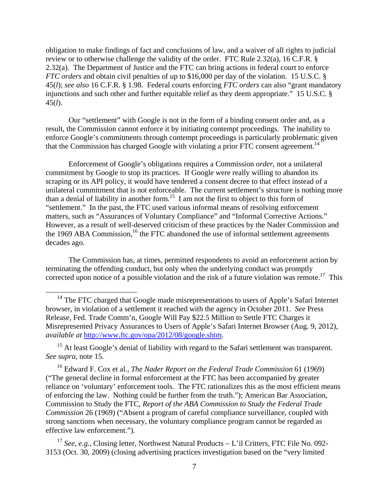obligation to make findings of fact and conclusions of law, and a waiver of all rights to judicial review or to otherwise challenge the validity of the order. FTC Rule 2.32(a), 16 C.F.R. § 2.32(a). The Department of Justice and the FTC can bring actions in federal court to enforce *FTC orders* and obtain civil penalties of up to \$16,000 per day of the violation. 15 U.S.C. § 45(*l*); *see also* 16 C.F.R. § 1.98. Federal courts enforcing *FTC orders* can also "grant mandatory injunctions and such other and further equitable relief as they deem appropriate." 15 U.S.C. § 45(*l*).

Our "settlement" with Google is not in the form of a binding consent order and, as a result, the Commission cannot enforce it by initiating contempt proceedings. The inability to enforce Google's commitments through contempt proceedings is particularly problematic given that the Commission has charged Google with violating a prior FTC consent agreement.<sup>14</sup>

Enforcement of Google's obligations requires a Commission *order*, not a unilateral commitment by Google to stop its practices. If Google were really willing to abandon its scraping or its API policy, it would have tendered a consent decree to that effect instead of a unilateral commitment that is not enforceable. The current settlement's structure is nothing more than a denial of liability in another form.<sup>15</sup> I am not the first to object to this form of "settlement." In the past, the FTC used various informal means of resolving enforcement matters, such as "Assurances of Voluntary Compliance" and "Informal Corrective Actions." However, as a result of well-deserved criticism of these practices by the Nader Commission and the 1969 ABA Commission,<sup>16</sup> the FTC abandoned the use of informal settlement agreements decades ago.

The Commission has, at times, permitted respondents to avoid an enforcement action by terminating the offending conduct, but only when the underlying conduct was promptly corrected upon notice of a possible violation and the risk of a future violation was remote.<sup>17</sup> This

<sup>15</sup> At least Google's denial of liability with regard to the Safari settlement was transparent. *See supra*, note 15.

16 Edward F. Cox et al., *The Nader Report on the Federal Trade Commission* 61 (1969) ("The general decline in formal enforcement at the FTC has been accompanied by greater reliance on 'voluntary' enforcement tools. The FTC rationalizes this as the most efficient means of enforcing the law. Nothing could be further from the truth."); American Bar Association, Commission to Study the FTC, *Report of the ABA Commission to Study the Federal Trade Commission* 26 (1969) ("Absent a program of careful compliance surveillance, coupled with strong sanctions when necessary, the voluntary compliance program cannot be regarded as effective law enforcement.").

<sup>17</sup> See, e.g., Closing letter, Northwest Natural Products – L'il Critters, FTC File No. 092-3153 (Oct. 30, 2009) (closing advertising practices investigation based on the "very limited

<sup>&</sup>lt;sup>14</sup> The FTC charged that Google made misrepresentations to users of Apple's Safari Internet browser, in violation of a settlement it reached with the agency in October 2011. *See* Press Release, Fed. Trade Comm'n, Google Will Pay \$22.5 Million to Settle FTC Charges it Misrepresented Privacy Assurances to Users of Apple's Safari Internet Browser (Aug. 9, 2012), *available at* http://www.ftc.gov/opa/2012/08/google.shtm.